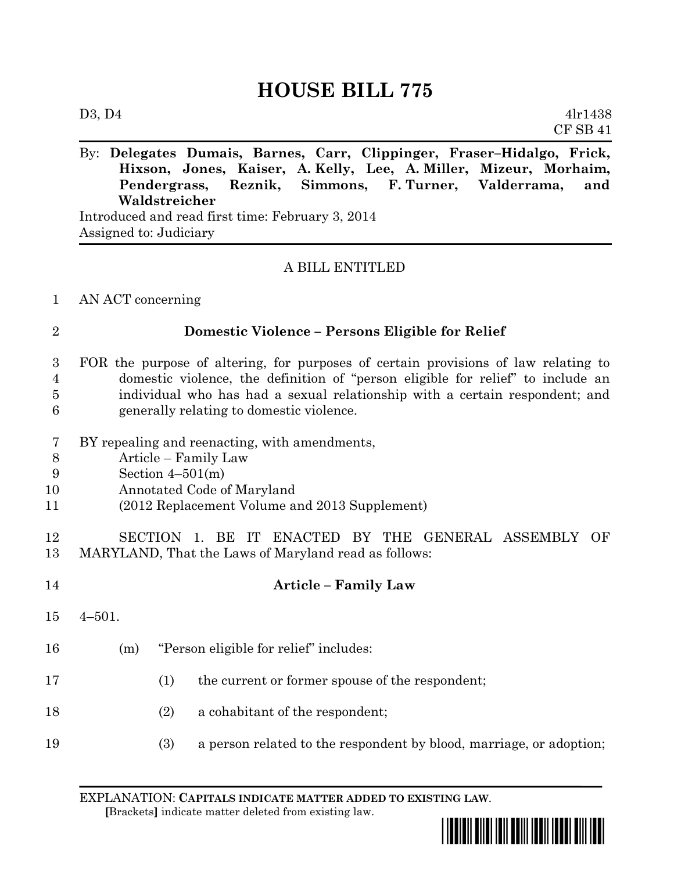# **HOUSE BILL 775**

|                                                  | By: Delegates Dumais, Barnes, Carr, Clippinger, Fraser–Hidalgo, Frick, |  |  |  |  |                                                                   |  |  |
|--------------------------------------------------|------------------------------------------------------------------------|--|--|--|--|-------------------------------------------------------------------|--|--|
|                                                  |                                                                        |  |  |  |  | Hixson, Jones, Kaiser, A. Kelly, Lee, A. Miller, Mizeur, Morhaim, |  |  |
|                                                  |                                                                        |  |  |  |  | Pendergrass, Reznik, Simmons, F.Turner, Valderrama, and           |  |  |
|                                                  | Waldstreicher                                                          |  |  |  |  |                                                                   |  |  |
| Introduced and read first time: February 3, 2014 |                                                                        |  |  |  |  |                                                                   |  |  |

Assigned to: Judiciary

## A BILL ENTITLED

## 1 AN ACT concerning

## 2 **Domestic Violence – Persons Eligible for Relief**

- 3 FOR the purpose of altering, for purposes of certain provisions of law relating to 4 domestic violence, the definition of "person eligible for relief" to include an 5 individual who has had a sexual relationship with a certain respondent; and 6 generally relating to domestic violence.
- 7 BY repealing and reenacting, with amendments,
- 8 Article Family Law
- 9 Section 4–501(m)
- 10 Annotated Code of Maryland
- 11 (2012 Replacement Volume and 2013 Supplement)
- 12 SECTION 1. BE IT ENACTED BY THE GENERAL ASSEMBLY OF 13 MARYLAND, That the Laws of Maryland read as follows:
- 14 **Article – Family Law** 15 4–501. 16 (m) "Person eligible for relief" includes: 17 (1) the current or former spouse of the respondent; 18 (2) a cohabitant of the respondent; 19 (3) a person related to the respondent by blood, marriage, or adoption;